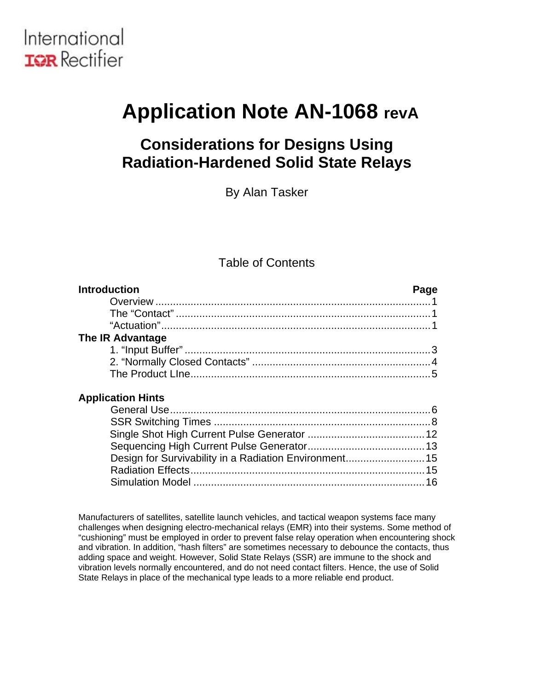

# **Application Note AN-1068 revA**

## **Considerations for Designs Using Radiation-Hardened Solid State Relays**

By Alan Tasker

## Table of Contents

| <b>Introduction</b>      | Page |
|--------------------------|------|
|                          |      |
|                          |      |
|                          |      |
| <b>The IR Advantage</b>  |      |
|                          |      |
|                          |      |
|                          |      |
| <b>Application Hints</b> |      |
|                          |      |
|                          |      |
|                          |      |
|                          |      |
|                          |      |
|                          |      |
|                          |      |

Manufacturers of satellites, satellite launch vehicles, and tactical weapon systems face many challenges when designing electro-mechanical relays (EMR) into their systems. Some method of "cushioning" must be employed in order to prevent false relay operation when encountering shock and vibration. In addition, "hash filters" are sometimes necessary to debounce the contacts, thus adding space and weight. However, Solid State Relays (SSR) are immune to the shock and vibration levels normally encountered, and do not need contact filters. Hence, the use of Solid State Relays in place of the mechanical type leads to a more reliable end product.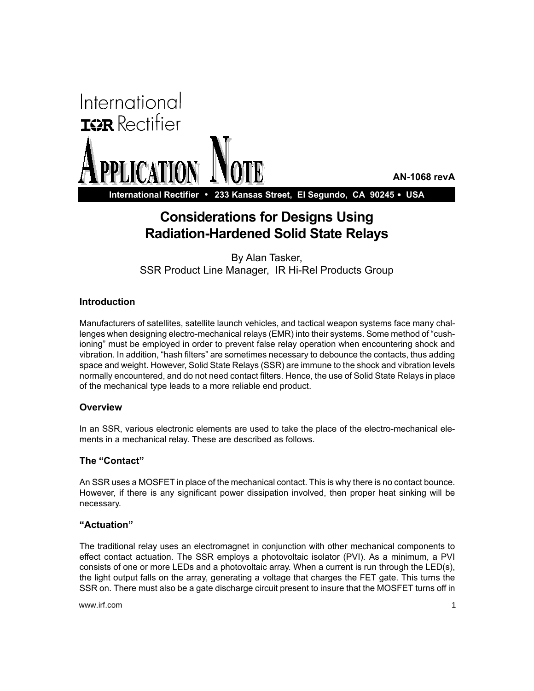<span id="page-1-0"></span>

**AN-1068 revA**

**International Rectifier** • **233 Kansas Street, El Segundo, CA 90245**  <sup>z</sup> **USA**

## **Considerations for Designs Using Radiation-Hardened Solid State Relays**

By Alan Tasker, SSR Product Line Manager, IR Hi-Rel Products Group

#### **Introduction**

Manufacturers of satellites, satellite launch vehicles, and tactical weapon systems face many challenges when designing electro-mechanical relays (EMR) into their systems. Some method of "cushioning" must be employed in order to prevent false relay operation when encountering shock and vibration. In addition, "hash filters" are sometimes necessary to debounce the contacts, thus adding space and weight. However, Solid State Relays (SSR) are immune to the shock and vibration levels normally encountered, and do not need contact filters. Hence, the use of Solid State Relays in place of the mechanical type leads to a more reliable end product.

#### **Overview**

In an SSR, various electronic elements are used to take the place of the electro-mechanical elements in a mechanical relay. These are described as follows.

#### **The "Contact"**

An SSR uses a MOSFET in place of the mechanical contact. This is why there is no contact bounce. However, if there is any significant power dissipation involved, then proper heat sinking will be necessary.

#### **"Actuation"**

The traditional relay uses an electromagnet in conjunction with other mechanical components to effect contact actuation. The SSR employs a photovoltaic isolator (PVI). As a minimum, a PVI consists of one or more LEDs and a photovoltaic array. When a current is run through the LED(s), the light output falls on the array, generating a voltage that charges the FET gate. This turns the SSR on. There must also be a gate discharge circuit present to insure that the MOSFET turns off in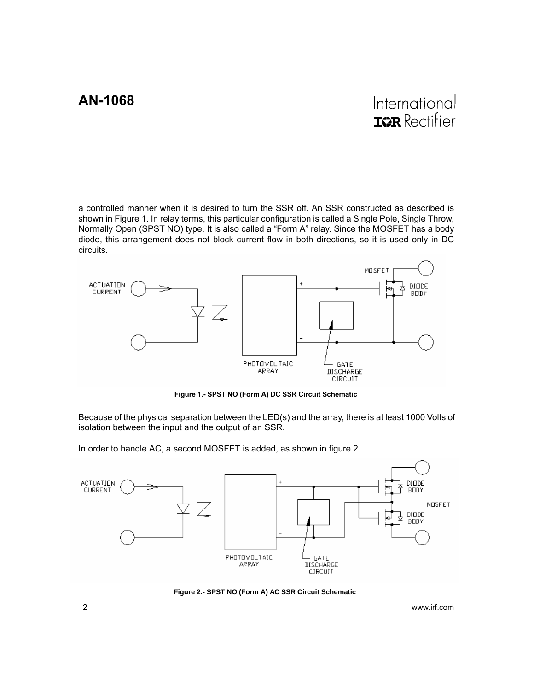## International **IOR** Rectifier

a controlled manner when it is desired to turn the SSR off. An SSR constructed as described is shown in Figure 1. In relay terms, this particular configuration is called a Single Pole, Single Throw, Normally Open (SPST NO) type. It is also called a "Form A" relay. Since the MOSFET has a body diode, this arrangement does not block current flow in both directions, so it is used only in DC circuits.



**Figure 1.- SPST NO (Form A) DC SSR Circuit Schematic**

Because of the physical separation between the LED(s) and the array, there is at least 1000 Volts of isolation between the input and the output of an SSR.

In order to handle AC, a second MOSFET is added, as shown in figure 2.



**Figure 2.- SPST NO (Form A) AC SSR Circuit Schematic**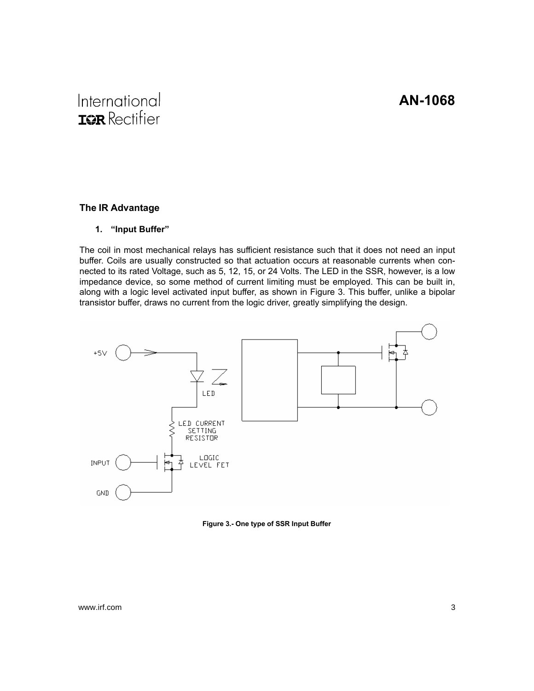<span id="page-3-0"></span>

#### **The IR Advantage**

#### **1. "Input Buffer"**

The coil in most mechanical relays has sufficient resistance such that it does not need an input buffer. Coils are usually constructed so that actuation occurs at reasonable currents when connected to its rated Voltage, such as 5, 12, 15, or 24 Volts. The LED in the SSR, however, is a low impedance device, so some method of current limiting must be employed. This can be built in, along with a logic level activated input buffer, as shown in Figure 3. This buffer, unlike a bipolar transistor buffer, draws no current from the logic driver, greatly simplifying the design.



**Figure 3.- One type of SSR Input Buffer**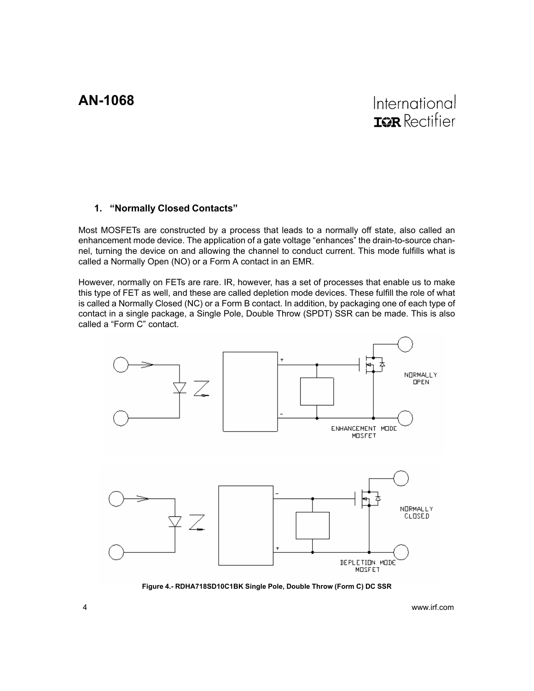# International **IGR** Rectifier

#### <span id="page-4-0"></span>**1. "Normally Closed Contacts"**

Most MOSFETs are constructed by a process that leads to a normally off state, also called an enhancement mode device. The application of a gate voltage "enhances" the drain-to-source channel, turning the device on and allowing the channel to conduct current. This mode fulfills what is called a Normally Open (NO) or a Form A contact in an EMR.

However, normally on FETs are rare. IR, however, has a set of processes that enable us to make this type of FET as well, and these are called depletion mode devices. These fulfill the role of what is called a Normally Closed (NC) or a Form B contact. In addition, by packaging one of each type of contact in a single package, a Single Pole, Double Throw (SPDT) SSR can be made. This is also called a "Form C" contact.



**Figure 4.- RDHA718SD10C1BK Single Pole, Double Throw (Form C) DC SSR**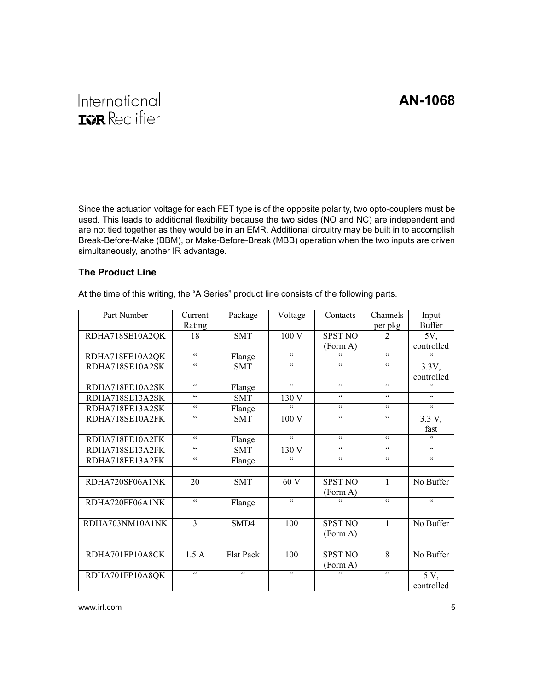# <span id="page-5-0"></span>International **IOR** Rectifier

Since the actuation voltage for each FET type is of the opposite polarity, two opto-couplers must be used. This leads to additional flexibility because the two sides (NO and NC) are independent and are not tied together as they would be in an EMR. Additional circuitry may be built in to accomplish Break-Before-Make (BBM), or Make-Before-Break (MBB) operation when the two inputs are driven simultaneously, another IR advantage.

#### **The Product Line**

At the time of this writing, the "A Series" product line consists of the following parts.

| <b>SPST NO</b><br>$\mathfrak{D}$<br>18<br><b>SMT</b><br>100 V<br>RDHA718SE10A2QK<br>5V,<br>controlled<br>(Form A)<br>$\epsilon$<br>$\mathsf{c}\,\mathsf{c}$<br>$\mathsf{c}\,\mathsf{c}$<br>$\epsilon$<br>$\epsilon$<br>RDHA718FE10A2QK<br>Flange<br>$\epsilon$<br>$\epsilon$<br>$\boldsymbol{\varsigma}$ $\boldsymbol{\varsigma}$<br>$\mathsf{c}\,\mathsf{c}$<br>RDHA718SE10A2SK<br>$3.3V$ ,<br><b>SMT</b><br>controlled<br>$\epsilon$ $\epsilon$<br>$\zeta$ $\zeta$<br>$\mathsf{c}\,\mathsf{c}$<br>$\mathsf{c}\,\mathsf{c}$<br>$\zeta$ $\zeta$<br>RDHA718FE10A2SK<br>Flange<br>$\epsilon$<br>$\boldsymbol{\varsigma}$ $\boldsymbol{\varsigma}$<br>$\mathsf{c}\,\mathsf{c}$<br>$\epsilon$<br>RDHA718SE13A2SK<br><b>SMT</b><br>130 V<br>$\epsilon$<br>C<br>$\epsilon$<br>$\epsilon$<br>cc<br>RDHA718FE13A2SK<br>Flange<br>$\epsilon$<br>$\epsilon$<br>$\epsilon$<br>100 V<br>RDHA718SE10A2FK<br><b>SMT</b><br>3.3 V,<br>fast<br>$\mathsf{c}\,\mathsf{c}$<br>$\epsilon$ $\epsilon$<br>cc<br>$\mathsf{c}\,\mathsf{c}$<br>,<br>RDHA718FE10A2FK<br>Flange<br>$\epsilon$<br>$\epsilon$<br>$\epsilon$<br>cc<br>RDHA718SE13A2FK<br><b>SMT</b><br>130 V<br>$\epsilon$<br>cc<br>$\mathsf{c}\,\mathsf{c}$<br>cc<br>$\epsilon$<br>RDHA718FE13A2FK<br>Flange<br><b>SPST NO</b><br>RDHA720SF06A1NK<br>20<br><b>SMT</b><br>60 V<br>No Buffer<br>1<br>(Form A)<br>$\epsilon$<br>$\epsilon$<br>$\epsilon$<br>$\epsilon$<br>RDHA720FF06A1NK<br>Flange<br>3<br><b>SPST NO</b><br>RDHA703NM10A1NK<br>SMD4<br>100<br>$\mathbf{1}$<br>No Buffer<br>(Form A)<br>$\overline{1.5}$ A<br>8<br>100<br><b>SPST NO</b><br>Flat Pack<br>No Buffer<br>RDHA701FP10A8CK<br>(Form A)<br>$\epsilon$<br>$\epsilon$<br>$\epsilon$<br>$\epsilon$<br>$\epsilon$<br>5 V,<br>RDHA701FP10A8QK | Part Number | Current | Package | Voltage | Contacts | Channels | Input         |
|-----------------------------------------------------------------------------------------------------------------------------------------------------------------------------------------------------------------------------------------------------------------------------------------------------------------------------------------------------------------------------------------------------------------------------------------------------------------------------------------------------------------------------------------------------------------------------------------------------------------------------------------------------------------------------------------------------------------------------------------------------------------------------------------------------------------------------------------------------------------------------------------------------------------------------------------------------------------------------------------------------------------------------------------------------------------------------------------------------------------------------------------------------------------------------------------------------------------------------------------------------------------------------------------------------------------------------------------------------------------------------------------------------------------------------------------------------------------------------------------------------------------------------------------------------------------------------------------------------------------------------------------------------------------------------------------------------------------------------------------------------|-------------|---------|---------|---------|----------|----------|---------------|
|                                                                                                                                                                                                                                                                                                                                                                                                                                                                                                                                                                                                                                                                                                                                                                                                                                                                                                                                                                                                                                                                                                                                                                                                                                                                                                                                                                                                                                                                                                                                                                                                                                                                                                                                                     |             | Rating  |         |         |          | per pkg  | <b>Buffer</b> |
|                                                                                                                                                                                                                                                                                                                                                                                                                                                                                                                                                                                                                                                                                                                                                                                                                                                                                                                                                                                                                                                                                                                                                                                                                                                                                                                                                                                                                                                                                                                                                                                                                                                                                                                                                     |             |         |         |         |          |          |               |
|                                                                                                                                                                                                                                                                                                                                                                                                                                                                                                                                                                                                                                                                                                                                                                                                                                                                                                                                                                                                                                                                                                                                                                                                                                                                                                                                                                                                                                                                                                                                                                                                                                                                                                                                                     |             |         |         |         |          |          |               |
|                                                                                                                                                                                                                                                                                                                                                                                                                                                                                                                                                                                                                                                                                                                                                                                                                                                                                                                                                                                                                                                                                                                                                                                                                                                                                                                                                                                                                                                                                                                                                                                                                                                                                                                                                     |             |         |         |         |          |          |               |
|                                                                                                                                                                                                                                                                                                                                                                                                                                                                                                                                                                                                                                                                                                                                                                                                                                                                                                                                                                                                                                                                                                                                                                                                                                                                                                                                                                                                                                                                                                                                                                                                                                                                                                                                                     |             |         |         |         |          |          |               |
|                                                                                                                                                                                                                                                                                                                                                                                                                                                                                                                                                                                                                                                                                                                                                                                                                                                                                                                                                                                                                                                                                                                                                                                                                                                                                                                                                                                                                                                                                                                                                                                                                                                                                                                                                     |             |         |         |         |          |          |               |
|                                                                                                                                                                                                                                                                                                                                                                                                                                                                                                                                                                                                                                                                                                                                                                                                                                                                                                                                                                                                                                                                                                                                                                                                                                                                                                                                                                                                                                                                                                                                                                                                                                                                                                                                                     |             |         |         |         |          |          |               |
|                                                                                                                                                                                                                                                                                                                                                                                                                                                                                                                                                                                                                                                                                                                                                                                                                                                                                                                                                                                                                                                                                                                                                                                                                                                                                                                                                                                                                                                                                                                                                                                                                                                                                                                                                     |             |         |         |         |          |          |               |
|                                                                                                                                                                                                                                                                                                                                                                                                                                                                                                                                                                                                                                                                                                                                                                                                                                                                                                                                                                                                                                                                                                                                                                                                                                                                                                                                                                                                                                                                                                                                                                                                                                                                                                                                                     |             |         |         |         |          |          |               |
|                                                                                                                                                                                                                                                                                                                                                                                                                                                                                                                                                                                                                                                                                                                                                                                                                                                                                                                                                                                                                                                                                                                                                                                                                                                                                                                                                                                                                                                                                                                                                                                                                                                                                                                                                     |             |         |         |         |          |          |               |
|                                                                                                                                                                                                                                                                                                                                                                                                                                                                                                                                                                                                                                                                                                                                                                                                                                                                                                                                                                                                                                                                                                                                                                                                                                                                                                                                                                                                                                                                                                                                                                                                                                                                                                                                                     |             |         |         |         |          |          |               |
|                                                                                                                                                                                                                                                                                                                                                                                                                                                                                                                                                                                                                                                                                                                                                                                                                                                                                                                                                                                                                                                                                                                                                                                                                                                                                                                                                                                                                                                                                                                                                                                                                                                                                                                                                     |             |         |         |         |          |          |               |
|                                                                                                                                                                                                                                                                                                                                                                                                                                                                                                                                                                                                                                                                                                                                                                                                                                                                                                                                                                                                                                                                                                                                                                                                                                                                                                                                                                                                                                                                                                                                                                                                                                                                                                                                                     |             |         |         |         |          |          |               |
|                                                                                                                                                                                                                                                                                                                                                                                                                                                                                                                                                                                                                                                                                                                                                                                                                                                                                                                                                                                                                                                                                                                                                                                                                                                                                                                                                                                                                                                                                                                                                                                                                                                                                                                                                     |             |         |         |         |          |          |               |
|                                                                                                                                                                                                                                                                                                                                                                                                                                                                                                                                                                                                                                                                                                                                                                                                                                                                                                                                                                                                                                                                                                                                                                                                                                                                                                                                                                                                                                                                                                                                                                                                                                                                                                                                                     |             |         |         |         |          |          |               |
|                                                                                                                                                                                                                                                                                                                                                                                                                                                                                                                                                                                                                                                                                                                                                                                                                                                                                                                                                                                                                                                                                                                                                                                                                                                                                                                                                                                                                                                                                                                                                                                                                                                                                                                                                     |             |         |         |         |          |          |               |
|                                                                                                                                                                                                                                                                                                                                                                                                                                                                                                                                                                                                                                                                                                                                                                                                                                                                                                                                                                                                                                                                                                                                                                                                                                                                                                                                                                                                                                                                                                                                                                                                                                                                                                                                                     |             |         |         |         |          |          |               |
|                                                                                                                                                                                                                                                                                                                                                                                                                                                                                                                                                                                                                                                                                                                                                                                                                                                                                                                                                                                                                                                                                                                                                                                                                                                                                                                                                                                                                                                                                                                                                                                                                                                                                                                                                     |             |         |         |         |          |          |               |
|                                                                                                                                                                                                                                                                                                                                                                                                                                                                                                                                                                                                                                                                                                                                                                                                                                                                                                                                                                                                                                                                                                                                                                                                                                                                                                                                                                                                                                                                                                                                                                                                                                                                                                                                                     |             |         |         |         |          |          |               |
|                                                                                                                                                                                                                                                                                                                                                                                                                                                                                                                                                                                                                                                                                                                                                                                                                                                                                                                                                                                                                                                                                                                                                                                                                                                                                                                                                                                                                                                                                                                                                                                                                                                                                                                                                     |             |         |         |         |          |          |               |
|                                                                                                                                                                                                                                                                                                                                                                                                                                                                                                                                                                                                                                                                                                                                                                                                                                                                                                                                                                                                                                                                                                                                                                                                                                                                                                                                                                                                                                                                                                                                                                                                                                                                                                                                                     |             |         |         |         |          |          |               |
|                                                                                                                                                                                                                                                                                                                                                                                                                                                                                                                                                                                                                                                                                                                                                                                                                                                                                                                                                                                                                                                                                                                                                                                                                                                                                                                                                                                                                                                                                                                                                                                                                                                                                                                                                     |             |         |         |         |          |          |               |
|                                                                                                                                                                                                                                                                                                                                                                                                                                                                                                                                                                                                                                                                                                                                                                                                                                                                                                                                                                                                                                                                                                                                                                                                                                                                                                                                                                                                                                                                                                                                                                                                                                                                                                                                                     |             |         |         |         |          |          |               |
|                                                                                                                                                                                                                                                                                                                                                                                                                                                                                                                                                                                                                                                                                                                                                                                                                                                                                                                                                                                                                                                                                                                                                                                                                                                                                                                                                                                                                                                                                                                                                                                                                                                                                                                                                     |             |         |         |         |          |          |               |
|                                                                                                                                                                                                                                                                                                                                                                                                                                                                                                                                                                                                                                                                                                                                                                                                                                                                                                                                                                                                                                                                                                                                                                                                                                                                                                                                                                                                                                                                                                                                                                                                                                                                                                                                                     |             |         |         |         |          |          |               |
|                                                                                                                                                                                                                                                                                                                                                                                                                                                                                                                                                                                                                                                                                                                                                                                                                                                                                                                                                                                                                                                                                                                                                                                                                                                                                                                                                                                                                                                                                                                                                                                                                                                                                                                                                     |             |         |         |         |          |          | controlled    |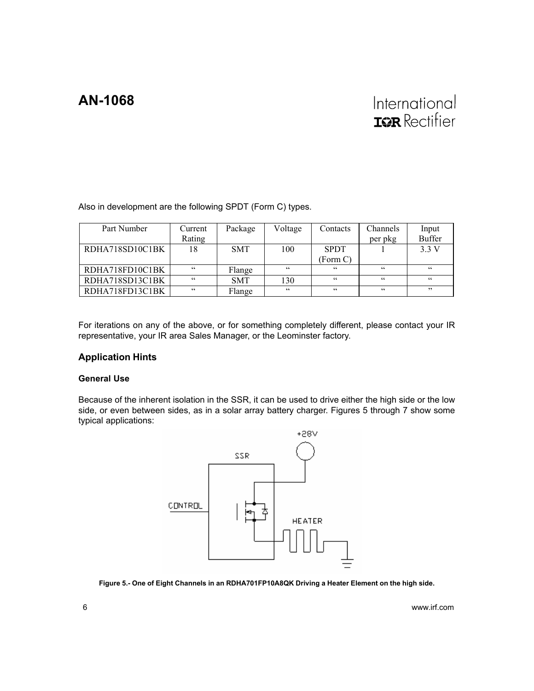# International **IOR** Rectifier

<span id="page-6-0"></span>Also in development are the following SPDT (Form C) types.

| Part Number     | Current    | Package    | Voltage | Contacts    | Channels   | Input         |
|-----------------|------------|------------|---------|-------------|------------|---------------|
|                 | Rating     |            |         |             | per pkg    | <b>Buffer</b> |
| RDHA718SD10C1BK | 18         | <b>SMT</b> | 100     | <b>SPDT</b> |            | 3.3 V         |
|                 |            |            |         | (Form C)    |            |               |
| RDHA718FD10C1BK | cc         | Flange     | cc      | cc          | $\epsilon$ | C             |
| RDHA718SD13C1BK | $\epsilon$ | <b>SMT</b> | 130     | cc          | cc         | $\epsilon$    |
| RDHA718FD13C1BK | cc         | Flange     | cc      | cc          | $\epsilon$ | , ,           |

For iterations on any of the above, or for something completely different, please contact your IR representative, your IR area Sales Manager, or the Leominster factory.

#### **Application Hints**

#### **General Use**

Because of the inherent isolation in the SSR, it can be used to drive either the high side or the low side, or even between sides, as in a solar array battery charger. Figures 5 through 7 show some typical applications:



**Figure 5.- One of Eight Channels in an RDHA701FP10A8QK Driving a Heater Element on the high side.**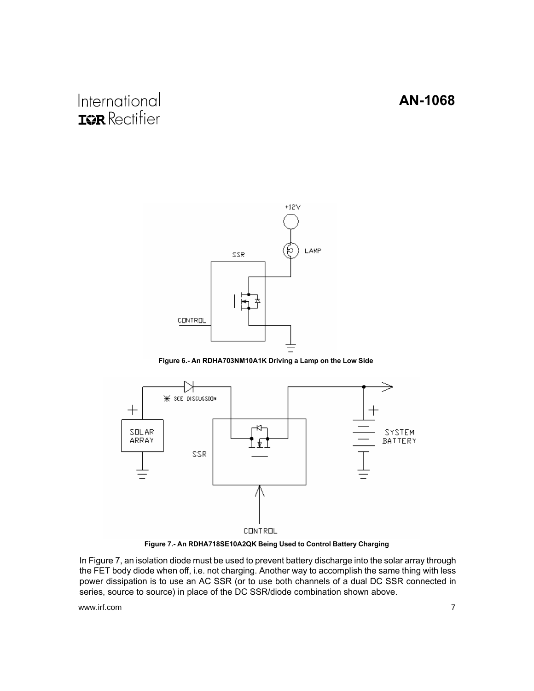## International **IOR** Rectifier



**Figure 6.- An RDHA703NM10A1K Driving a Lamp on the Low Side**



**Figure 7.- An RDHA718SE10A2QK Being Used to Control Battery Charging**

In Figure 7, an isolation diode must be used to prevent battery discharge into the solar array through the FET body diode when off, i.e. not charging. Another way to accomplish the same thing with less power dissipation is to use an AC SSR (or to use both channels of a dual DC SSR connected in series, source to source) in place of the DC SSR/diode combination shown above.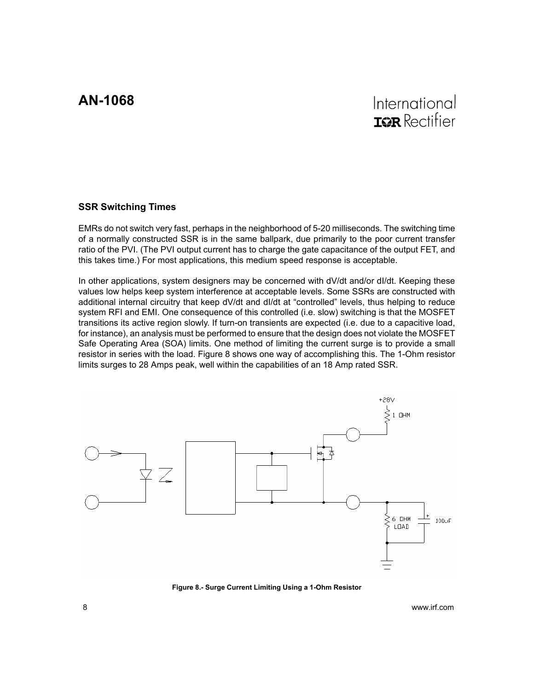# International **ISR** Rectifier

#### <span id="page-8-0"></span>**SSR Switching Times**

EMRs do not switch very fast, perhaps in the neighborhood of 5-20 milliseconds. The switching time of a normally constructed SSR is in the same ballpark, due primarily to the poor current transfer ratio of the PVI. (The PVI output current has to charge the gate capacitance of the output FET, and this takes time.) For most applications, this medium speed response is acceptable.

In other applications, system designers may be concerned with dV/dt and/or dI/dt. Keeping these values low helps keep system interference at acceptable levels. Some SSRs are constructed with additional internal circuitry that keep dV/dt and dI/dt at "controlled" levels, thus helping to reduce system RFI and EMI. One consequence of this controlled (i.e. slow) switching is that the MOSFET transitions its active region slowly. If turn-on transients are expected (i.e. due to a capacitive load, for instance), an analysis must be performed to ensure that the design does not violate the MOSFET Safe Operating Area (SOA) limits. One method of limiting the current surge is to provide a small resistor in series with the load. Figure 8 shows one way of accomplishing this. The 1-Ohm resistor limits surges to 28 Amps peak, well within the capabilities of an 18 Amp rated SSR.



**Figure 8.- Surge Current Limiting Using a 1-Ohm Resistor**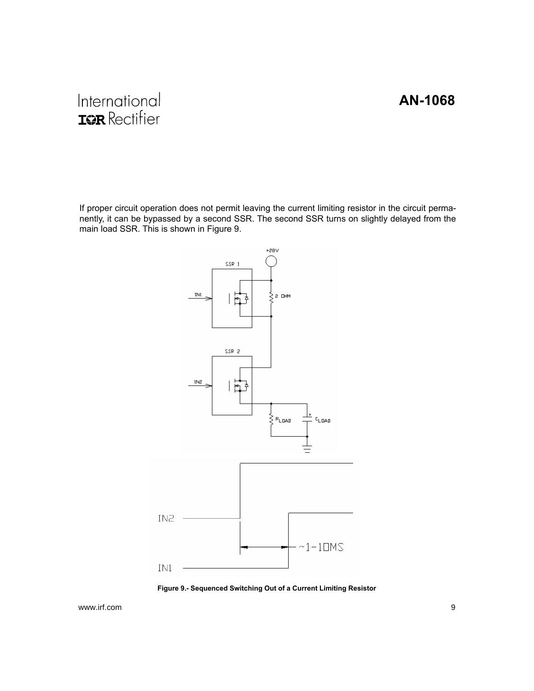

If proper circuit operation does not permit leaving the current limiting resistor in the circuit permanently, it can be bypassed by a second SSR. The second SSR turns on slightly delayed from the main load SSR. This is shown in Figure 9.



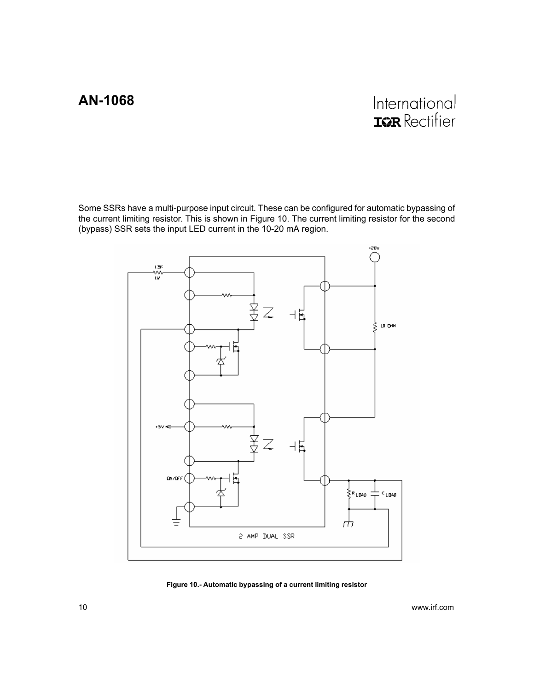# International **ISR** Rectifier

Some SSRs have a multi-purpose input circuit. These can be configured for automatic bypassing of the current limiting resistor. This is shown in Figure 10. The current limiting resistor for the second (bypass) SSR sets the input LED current in the 10-20 mA region.



**Figure 10.- Automatic bypassing of a current limiting resistor**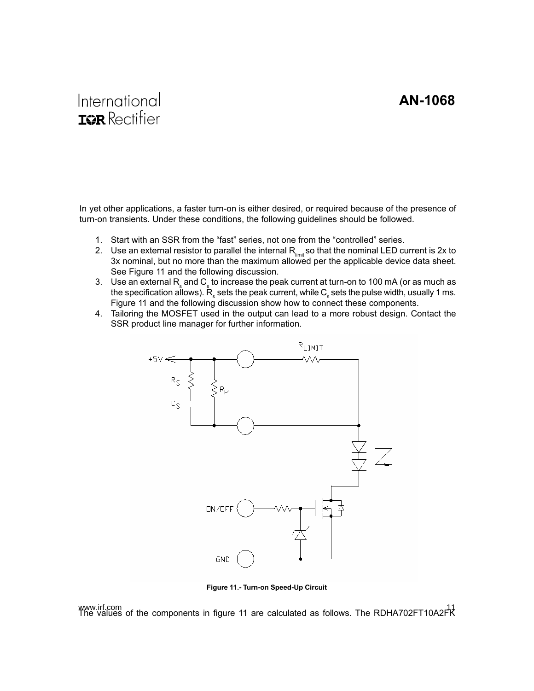## International **ISR** Rectifier

In yet other applications, a faster turn-on is either desired, or required because of the presence of turn-on transients. Under these conditions, the following guidelines should be followed.

- 1. Start with an SSR from the "fast" series, not one from the "controlled" series.
- 2. Use an external resistor to parallel the internal  $R_{\text{limit}}$  so that the nominal LED current is 2x to 3x nominal, but no more than the maximum allowed per the applicable device data sheet. See Figure 11 and the following discussion.
- 3. Use an external  $\mathsf{R}_{_\mathrm{s}}$  and  $\mathsf{C}_{_\mathrm{s}}$  to increase the peak current at turn-on to 100 mA (or as much as the specification allows).  $\mathsf{R}_{_\mathrm{S}}$  sets the peak current, while  $\mathsf{C}_{_\mathrm{S}}$  sets the pulse width, usually 1 ms. Figure 11 and the following discussion show how to connect these components.
- 4. Tailoring the MOSFET used in the output can lead to a more robust design. Contact the SSR product line manager for further information.



**Figure 11.- Turn-on Speed-Up Circuit**

www.irf.com 11 The values of the components in figure 11 are calculated as follows. The RDHA702FT10A2FK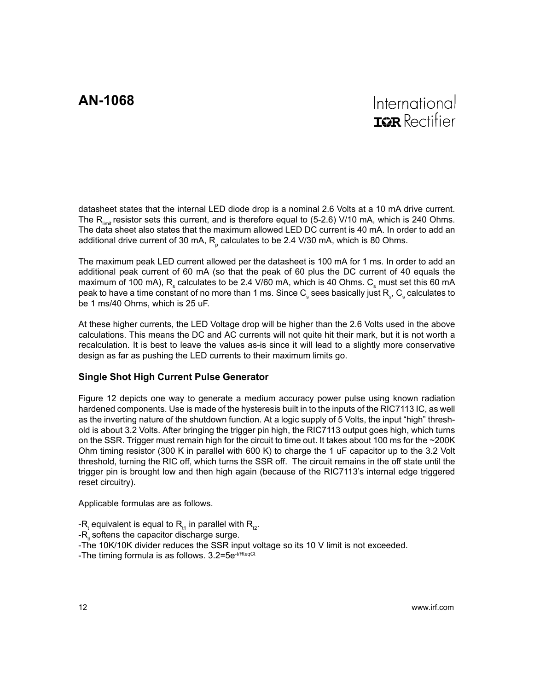# International **IGR** Rectifier

<span id="page-12-0"></span>datasheet states that the internal LED diode drop is a nominal 2.6 Volts at a 10 mA drive current. The  $R_{\text{limit}}$  resistor sets this current, and is therefore equal to (5-2.6) V/10 mA, which is 240 Ohms. The data sheet also states that the maximum allowed LED DC current is 40 mA. In order to add an additional drive current of 30 mA,  $\mathsf{R}_{_\text{p}}$  calculates to be 2.4 V/30 mA, which is 80 Ohms.

The maximum peak LED current allowed per the datasheet is 100 mA for 1 ms. In order to add an additional peak current of 60 mA (so that the peak of 60 plus the DC current of 40 equals the maximum of 100 mA),  $\mathsf{R}_{_\mathrm{s}}$  calculates to be 2.4 V/60 mA, which is 40 Ohms.  $\mathsf{C}_{_\mathrm{s}}$  must set this 60 mA peak to have a time constant of no more than 1 ms. Since  ${\sf C}_{\rm _S}$  sees basically just  ${\sf R}_{\rm _S}$ ,  ${\sf C}_{\rm _S}$  calculates to be 1 ms/40 Ohms, which is 25 uF.

At these higher currents, the LED Voltage drop will be higher than the 2.6 Volts used in the above calculations. This means the DC and AC currents will not quite hit their mark, but it is not worth a recalculation. It is best to leave the values as-is since it will lead to a slightly more conservative design as far as pushing the LED currents to their maximum limits go.

#### **Single Shot High Current Pulse Generator**

Figure 12 depicts one way to generate a medium accuracy power pulse using known radiation hardened components. Use is made of the hysteresis built in to the inputs of the RIC7113 IC, as well as the inverting nature of the shutdown function. At a logic supply of 5 Volts, the input "high" threshold is about 3.2 Volts. After bringing the trigger pin high, the RIC7113 output goes high, which turns on the SSR. Trigger must remain high for the circuit to time out. It takes about 100 ms for the ~200K Ohm timing resistor (300 K in parallel with 600 K) to charge the 1 uF capacitor up to the 3.2 Volt threshold, turning the RIC off, which turns the SSR off. The circuit remains in the off state until the trigger pin is brought low and then high again (because of the RIC7113's internal edge triggered reset circuitry).

Applicable formulas are as follows.

- -R $_{\rm t}$  equivalent is equal to R $_{\rm t_1}$  in parallel with R $_{\rm t_2}$ .
- $-R_d$  softens the capacitor discharge surge.
- -The 10K/10K divider reduces the SSR input voltage so its 10 V limit is not exceeded.
- -The timing formula is as follows.  $3.2=5e^{-t/RetqCt}$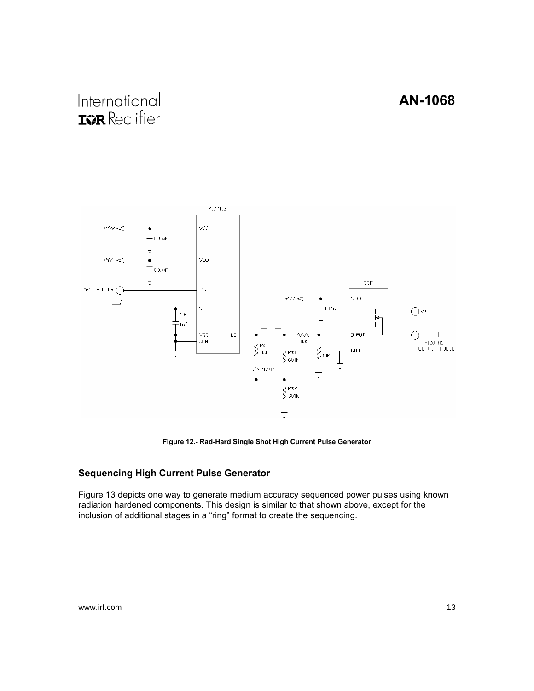# <span id="page-13-0"></span>International **IGR** Rectifier



**Figure 12.- Rad-Hard Single Shot High Current Pulse Generator**

#### **Sequencing High Current Pulse Generator**

Figure 13 depicts one way to generate medium accuracy sequenced power pulses using known radiation hardened components. This design is similar to that shown above, except for the inclusion of additional stages in a "ring" format to create the sequencing.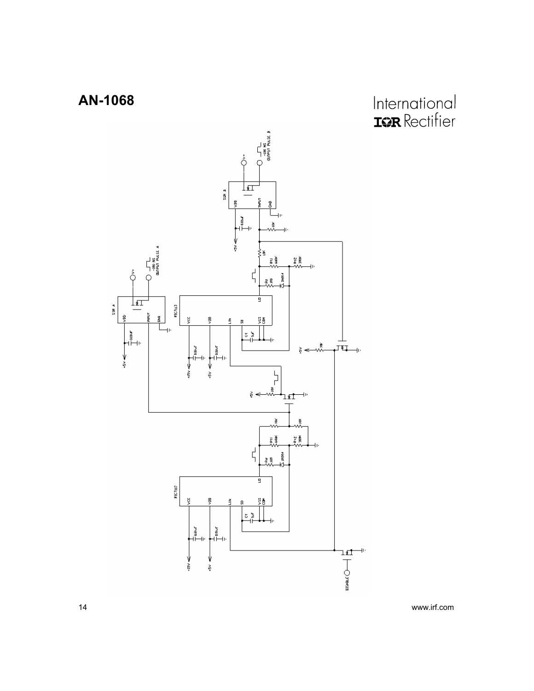# International<br>**IGR** Rectifier

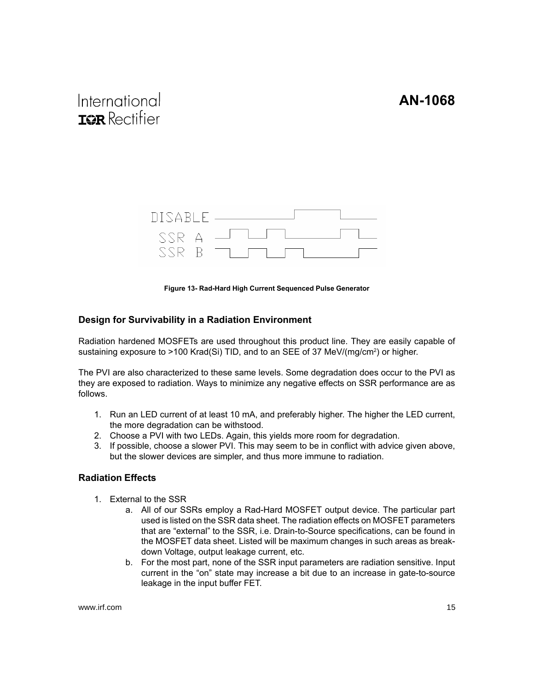# <span id="page-15-0"></span>International **IGR** Rectifier



**Figure 13- Rad-Hard High Current Sequenced Pulse Generator**

#### **Design for Survivability in a Radiation Environment**

Radiation hardened MOSFETs are used throughout this product line. They are easily capable of sustaining exposure to >100 Krad(Si) TID, and to an SEE of 37 MeV/(mg/cm<sup>2</sup>) or higher.

The PVI are also characterized to these same levels. Some degradation does occur to the PVI as they are exposed to radiation. Ways to minimize any negative effects on SSR performance are as follows.

- 1. Run an LED current of at least 10 mA, and preferably higher. The higher the LED current, the more degradation can be withstood.
- 2. Choose a PVI with two LEDs. Again, this yields more room for degradation.
- 3. If possible, choose a slower PVI. This may seem to be in conflict with advice given above, but the slower devices are simpler, and thus more immune to radiation.

#### **Radiation Effects**

- 1. External to the SSR
	- a. All of our SSRs employ a Rad-Hard MOSFET output device. The particular part used is listed on the SSR data sheet. The radiation effects on MOSFET parameters that are "external" to the SSR, i.e. Drain-to-Source specifications, can be found in the MOSFET data sheet. Listed will be maximum changes in such areas as breakdown Voltage, output leakage current, etc.
	- b. For the most part, none of the SSR input parameters are radiation sensitive. Input current in the "on" state may increase a bit due to an increase in gate-to-source leakage in the input buffer FET.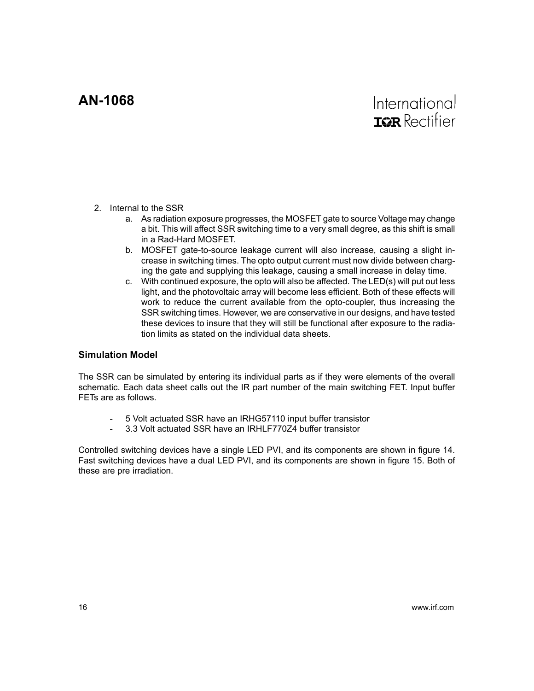# International **TOR** Rectifier

- <span id="page-16-0"></span>2. Internal to the SSR
	- a. As radiation exposure progresses, the MOSFET gate to source Voltage may change a bit. This will affect SSR switching time to a very small degree, as this shift is small in a Rad-Hard MOSFET.
	- b. MOSFET gate-to-source leakage current will also increase, causing a slight increase in switching times. The opto output current must now divide between charging the gate and supplying this leakage, causing a small increase in delay time.
	- c. With continued exposure, the opto will also be affected. The LED(s) will put out less light, and the photovoltaic array will become less efficient. Both of these effects will work to reduce the current available from the opto-coupler, thus increasing the SSR switching times. However, we are conservative in our designs, and have tested these devices to insure that they will still be functional after exposure to the radiation limits as stated on the individual data sheets.

#### **Simulation Model**

The SSR can be simulated by entering its individual parts as if they were elements of the overall schematic. Each data sheet calls out the IR part number of the main switching FET. Input buffer FETs are as follows.

- 5 Volt actuated SSR have an IRHG57110 input buffer transistor
- 3.3 Volt actuated SSR have an IRHLF770Z4 buffer transistor

Controlled switching devices have a single LED PVI, and its components are shown in figure 14. Fast switching devices have a dual LED PVI, and its components are shown in figure 15. Both of these are pre irradiation.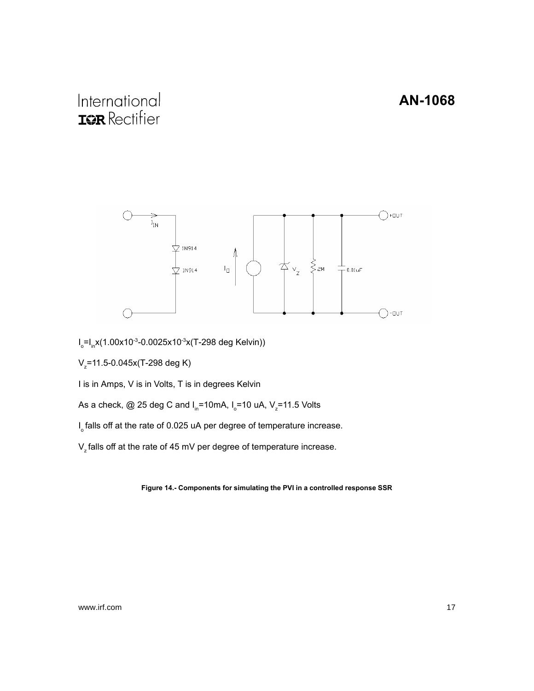# International **IOR** Rectifier



I<sub>。</sub>=I<sub>in</sub>x(1.00x10<sup>-3</sup>-0.0025x10<sup>-3</sup>x(T-298 deg Kelvin))

V<sub>z</sub>=11.5-0.045x(T-298 deg K)

I is in Amps, V is in Volts, T is in degrees Kelvin

As a check, @ 25 deg C and I<sub>in</sub>=10mA, I<sub>o</sub>=10 uA, V<sub>z</sub>=11.5 Volts

I<sub>o</sub> falls off at the rate of 0.025 uA per degree of temperature increase.

 $V_z$  falls off at the rate of 45 mV per degree of temperature increase.

#### **Figure 14.- Components for simulating the PVI in a controlled response SSR**